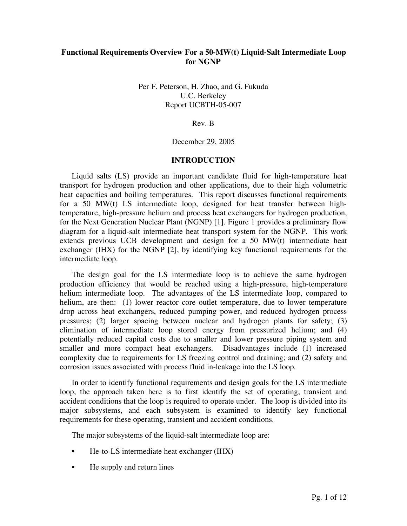# **Functional Requirements Overview For a 50-MW(t) Liquid-Salt Intermediate Loop for NGNP**

Per F. Peterson, H. Zhao, and G. Fukuda U.C. Berkeley Report UCBTH-05-007

Rev. B

December 29, 2005

### **INTRODUCTION**

Liquid salts (LS) provide an important candidate fluid for high-temperature heat transport for hydrogen production and other applications, due to their high volumetric heat capacities and boiling temperatures. This report discusses functional requirements for a 50 MW(t) LS intermediate loop, designed for heat transfer between hightemperature, high-pressure helium and process heat exchangers for hydrogen production, for the Next Generation Nuclear Plant (NGNP) [1]. Figure 1 provides a preliminary flow diagram for a liquid-salt intermediate heat transport system for the NGNP. This work extends previous UCB development and design for a 50 MW(t) intermediate heat exchanger (IHX) for the NGNP [2], by identifying key functional requirements for the intermediate loop.

The design goal for the LS intermediate loop is to achieve the same hydrogen production efficiency that would be reached using a high-pressure, high-temperature helium intermediate loop. The advantages of the LS intermediate loop, compared to helium, are then: (1) lower reactor core outlet temperature, due to lower temperature drop across heat exchangers, reduced pumping power, and reduced hydrogen process pressures; (2) larger spacing between nuclear and hydrogen plants for safety; (3) elimination of intermediate loop stored energy from pressurized helium; and (4) potentially reduced capital costs due to smaller and lower pressure piping system and smaller and more compact heat exchangers. Disadvantages include (1) increased complexity due to requirements for LS freezing control and draining; and (2) safety and corrosion issues associated with process fluid in-leakage into the LS loop.

In order to identify functional requirements and design goals for the LS intermediate loop, the approach taken here is to first identify the set of operating, transient and accident conditions that the loop is required to operate under. The loop is divided into its major subsystems, and each subsystem is examined to identify key functional requirements for these operating, transient and accident conditions.

The major subsystems of the liquid-salt intermediate loop are:

- He-to-LS intermediate heat exchanger (IHX)
- He supply and return lines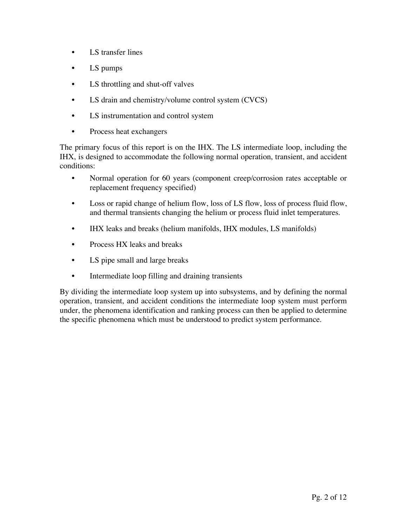- LS transfer lines
- LS pumps
- LS throttling and shut-off valves
- LS drain and chemistry/volume control system (CVCS)
- LS instrumentation and control system
- Process heat exchangers

The primary focus of this report is on the IHX. The LS intermediate loop, including the IHX, is designed to accommodate the following normal operation, transient, and accident conditions:

- Normal operation for 60 years (component creep/corrosion rates acceptable or replacement frequency specified)
- Loss or rapid change of helium flow, loss of LS flow, loss of process fluid flow, and thermal transients changing the helium or process fluid inlet temperatures.
- IHX leaks and breaks (helium manifolds, IHX modules, LS manifolds)
- Process HX leaks and breaks
- LS pipe small and large breaks
- Intermediate loop filling and draining transients

By dividing the intermediate loop system up into subsystems, and by defining the normal operation, transient, and accident conditions the intermediate loop system must perform under, the phenomena identification and ranking process can then be applied to determine the specific phenomena which must be understood to predict system performance.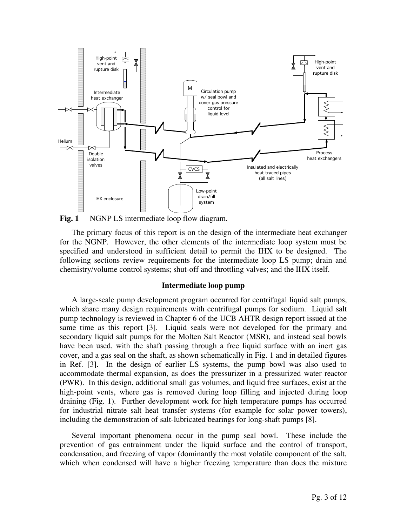

Fig. 1 NGNP LS intermediate loop flow diagram.

The primary focus of this report is on the design of the intermediate heat exchanger for the NGNP. However, the other elements of the intermediate loop system must be specified and understood in sufficient detail to permit the IHX to be designed. The following sections review requirements for the intermediate loop LS pump; drain and chemistry/volume control systems; shut-off and throttling valves; and the IHX itself.

## **Intermediate loop pump**

A large-scale pump development program occurred for centrifugal liquid salt pumps, which share many design requirements with centrifugal pumps for sodium. Liquid salt pump technology is reviewed in Chapter 6 of the UCB AHTR design report issued at the same time as this report [3]. Liquid seals were not developed for the primary and secondary liquid salt pumps for the Molten Salt Reactor (MSR), and instead seal bowls have been used, with the shaft passing through a free liquid surface with an inert gas cover, and a gas seal on the shaft, as shown schematically in Fig. 1 and in detailed figures in Ref. [3]. In the design of earlier LS systems, the pump bowl was also used to accommodate thermal expansion, as does the pressurizer in a pressurized water reactor (PWR). In this design, additional small gas volumes, and liquid free surfaces, exist at the high-point vents, where gas is removed during loop filling and injected during loop draining (Fig. 1). Further development work for high temperature pumps has occurred for industrial nitrate salt heat transfer systems (for example for solar power towers), including the demonstration of salt-lubricated bearings for long-shaft pumps [8].

Several important phenomena occur in the pump seal bowl. These include the prevention of gas entrainment under the liquid surface and the control of transport, condensation, and freezing of vapor (dominantly the most volatile component of the salt, which when condensed will have a higher freezing temperature than does the mixture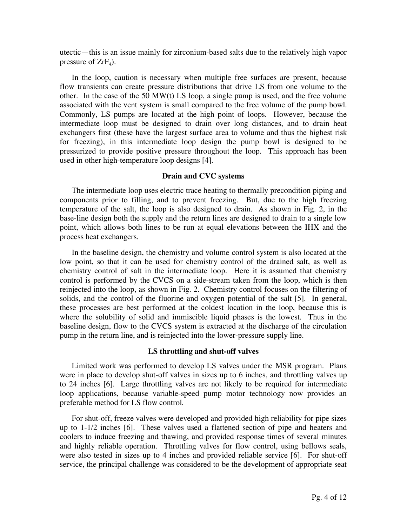utectic—this is an issue mainly for zirconium-based salts due to the relatively high vapor pressure of  $ZrF_4$ ).

In the loop, caution is necessary when multiple free surfaces are present, because flow transients can create pressure distributions that drive LS from one volume to the other. In the case of the 50 MW(t) LS loop, a single pump is used, and the free volume associated with the vent system is small compared to the free volume of the pump bowl. Commonly, LS pumps are located at the high point of loops. However, because the intermediate loop must be designed to drain over long distances, and to drain heat exchangers first (these have the largest surface area to volume and thus the highest risk for freezing), in this intermediate loop design the pump bowl is designed to be pressurized to provide positive pressure throughout the loop. This approach has been used in other high-temperature loop designs [4].

#### **Drain and CVC systems**

The intermediate loop uses electric trace heating to thermally precondition piping and components prior to filling, and to prevent freezing. But, due to the high freezing temperature of the salt, the loop is also designed to drain. As shown in Fig. 2, in the base-line design both the supply and the return lines are designed to drain to a single low point, which allows both lines to be run at equal elevations between the IHX and the process heat exchangers.

In the baseline design, the chemistry and volume control system is also located at the low point, so that it can be used for chemistry control of the drained salt, as well as chemistry control of salt in the intermediate loop. Here it is assumed that chemistry control is performed by the CVCS on a side-stream taken from the loop, which is then reinjected into the loop, as shown in Fig. 2. Chemistry control focuses on the filtering of solids, and the control of the fluorine and oxygen potential of the salt [5]. In general, these processes are best performed at the coldest location in the loop, because this is where the solubility of solid and immiscible liquid phases is the lowest. Thus in the baseline design, flow to the CVCS system is extracted at the discharge of the circulation pump in the return line, and is reinjected into the lower-pressure supply line.

### **LS throttling and shut-off valves**

Limited work was performed to develop LS valves under the MSR program. Plans were in place to develop shut-off valves in sizes up to 6 inches, and throttling valves up to 24 inches [6]. Large throttling valves are not likely to be required for intermediate loop applications, because variable-speed pump motor technology now provides an preferable method for LS flow control.

For shut-off, freeze valves were developed and provided high reliability for pipe sizes up to 1-1/2 inches [6]. These valves used a flattened section of pipe and heaters and coolers to induce freezing and thawing, and provided response times of several minutes and highly reliable operation. Throttling valves for flow control, using bellows seals, were also tested in sizes up to 4 inches and provided reliable service [6]. For shut-off service, the principal challenge was considered to be the development of appropriate seat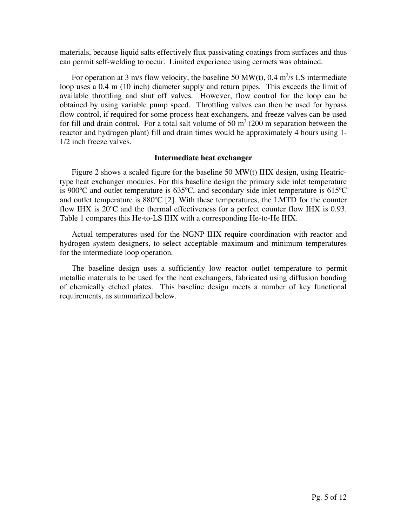materials, because liquid salts effectively flux passivating coatings from surfaces and thus can permit self-welding to occur. Limited experience using cermets was obtained.

For operation at 3 m/s flow velocity, the baseline 50 MW(t),  $0.4 \text{ m}^3/\text{s}$  LS intermediate loop uses a 0.4 m (10 inch) diameter supply and return pipes. This exceeds the limit of available throttling and shut off valves. However, flow control for the loop can be obtained by using variable pump speed. Throttling valves can then be used for bypass flow control, if required for some process heat exchangers, and freeze valves can be used for fill and drain control. For a total salt volume of 50  $m<sup>3</sup>$  (200 m separation between the reactor and hydrogen plant) fill and drain times would be approximately 4 hours using 1- 1/2 inch freeze valves.

### **Intermediate heat exchanger**

Figure 2 shows a scaled figure for the baseline 50 MW(t) IHX design, using Heatrictype heat exchanger modules. For this baseline design the primary side inlet temperature is 900ºC and outlet temperature is 635ºC, and secondary side inlet temperature is 615ºC and outlet temperature is 880ºC [2]. With these temperatures, the LMTD for the counter flow IHX is 20ºC and the thermal effectiveness for a perfect counter flow IHX is 0.93. Table 1 compares this He-to-LS IHX with a corresponding He-to-He IHX.

Actual temperatures used for the NGNP IHX require coordination with reactor and hydrogen system designers, to select acceptable maximum and minimum temperatures for the intermediate loop operation.

The baseline design uses a sufficiently low reactor outlet temperature to permit metallic materials to be used for the heat exchangers, fabricated using diffusion bonding of chemically etched plates. This baseline design meets a number of key functional requirements, as summarized below.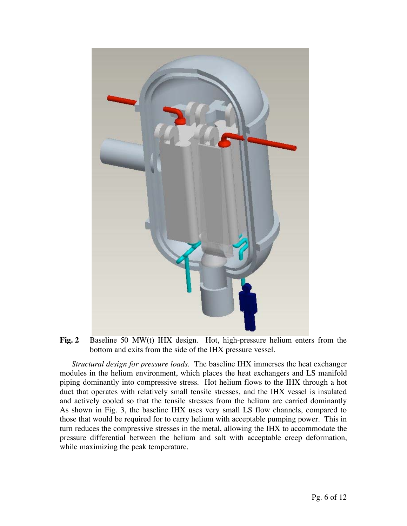

**Fig. 2** Baseline 50 MW(t) IHX design. Hot, high-pressure helium enters from the bottom and exits from the side of the IHX pressure vessel.

*Structural design for pressure loads.* The baseline IHX immerses the heat exchanger modules in the helium environment, which places the heat exchangers and LS manifold piping dominantly into compressive stress. Hot helium flows to the IHX through a hot duct that operates with relatively small tensile stresses, and the IHX vessel is insulated and actively cooled so that the tensile stresses from the helium are carried dominantly As shown in Fig. 3, the baseline IHX uses very small LS flow channels, compared to those that would be required for to carry helium with acceptable pumping power. This in turn reduces the compressive stresses in the metal, allowing the IHX to accommodate the pressure differential between the helium and salt with acceptable creep deformation, while maximizing the peak temperature.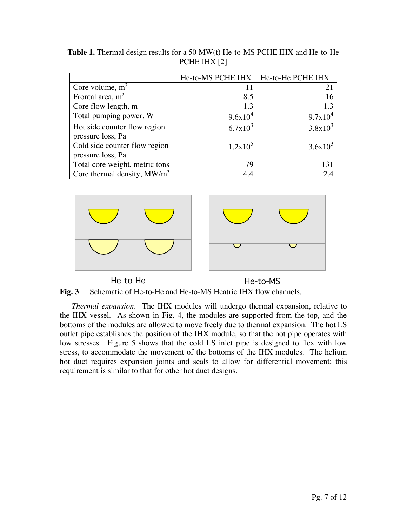|                                                    | He-to-MS PCHE IHX | He-to-He PCHE IHX |
|----------------------------------------------------|-------------------|-------------------|
| Core volume, $m3$                                  | 11                | 21                |
| Frontal area, $m2$                                 | 8.5               | 16                |
| Core flow length, m                                | 1.3               | 1.3               |
| Total pumping power, W                             | $9.6x10^4$        | $9.7x10^4$        |
| Hot side counter flow region<br>pressure loss, Pa  | $6.7x10^3$        | $3.8x10^3$        |
| Cold side counter flow region<br>pressure loss, Pa | $1.2x10^5$        | $3.6x10^{3}$      |
| Total core weight, metric tons                     | 79                | 131               |
| Core thermal density, $MW/m3$                      | 4.4               | 2.4               |

**Table 1.** Thermal design results for a 50 MW(t) He-to-MS PCHE IHX and He-to-He PCHE IHX [2]



He-to-He He-to-MS



*Thermal expansion.* The IHX modules will undergo thermal expansion, relative to the IHX vessel. As shown in Fig. 4, the modules are supported from the top, and the bottoms of the modules are allowed to move freely due to thermal expansion. The hot LS outlet pipe establishes the position of the IHX module, so that the hot pipe operates with low stresses. Figure 5 shows that the cold LS inlet pipe is designed to flex with low stress, to accommodate the movement of the bottoms of the IHX modules. The helium hot duct requires expansion joints and seals to allow for differential movement; this requirement is similar to that for other hot duct designs.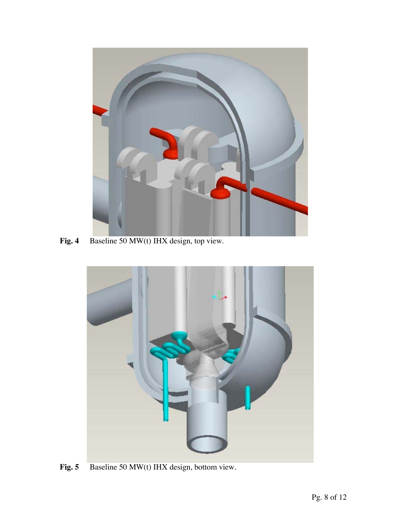

**Fig. 4** Baseline 50 MW(t) IHX design, top view.



Fig. 5 Baseline 50 MW(t) IHX design, bottom view.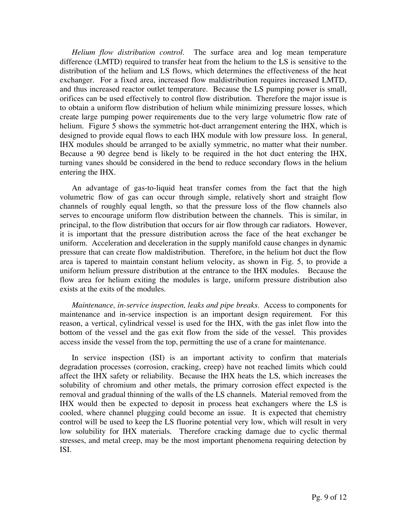*Helium flow distribution control.* The surface area and log mean temperature difference (LMTD) required to transfer heat from the helium to the LS is sensitive to the distribution of the helium and LS flows, which determines the effectiveness of the heat exchanger. For a fixed area, increased flow maldistribution requires increased LMTD, and thus increased reactor outlet temperature. Because the LS pumping power is small, orifices can be used effectively to control flow distribution. Therefore the major issue is to obtain a uniform flow distribution of helium while minimizing pressure losses, which create large pumping power requirements due to the very large volumetric flow rate of helium. Figure 5 shows the symmetric hot-duct arrangement entering the IHX, which is designed to provide equal flows to each IHX module with low pressure loss. In general, IHX modules should be arranged to be axially symmetric, no matter what their number. Because a 90 degree bend is likely to be required in the hot duct entering the IHX, turning vanes should be considered in the bend to reduce secondary flows in the helium entering the IHX.

An advantage of gas-to-liquid heat transfer comes from the fact that the high volumetric flow of gas can occur through simple, relatively short and straight flow channels of roughly equal length, so that the pressure loss of the flow channels also serves to encourage uniform flow distribution between the channels. This is similar, in principal, to the flow distribution that occurs for air flow through car radiators. However, it is important that the pressure distribution across the face of the heat exchanger be uniform. Acceleration and deceleration in the supply manifold cause changes in dynamic pressure that can create flow maldistribution. Therefore, in the helium hot duct the flow area is tapered to maintain constant helium velocity, as shown in Fig. 5, to provide a uniform helium pressure distribution at the entrance to the IHX modules. Because the flow area for helium exiting the modules is large, uniform pressure distribution also exists at the exits of the modules.

*Maintenance, in-service inspection, leaks and pipe breaks.* Access to components for maintenance and in-service inspection is an important design requirement. For this reason, a vertical, cylindrical vessel is used for the IHX, with the gas inlet flow into the bottom of the vessel and the gas exit flow from the side of the vessel. This provides access inside the vessel from the top, permitting the use of a crane for maintenance.

In service inspection (ISI) is an important activity to confirm that materials degradation processes (corrosion, cracking, creep) have not reached limits which could affect the IHX safety or reliability. Because the IHX heats the LS, which increases the solubility of chromium and other metals, the primary corrosion effect expected is the removal and gradual thinning of the walls of the LS channels. Material removed from the IHX would then be expected to deposit in process heat exchangers where the LS is cooled, where channel plugging could become an issue. It is expected that chemistry control will be used to keep the LS fluorine potential very low, which will result in very low solubility for IHX materials. Therefore cracking damage due to cyclic thermal stresses, and metal creep, may be the most important phenomena requiring detection by ISI.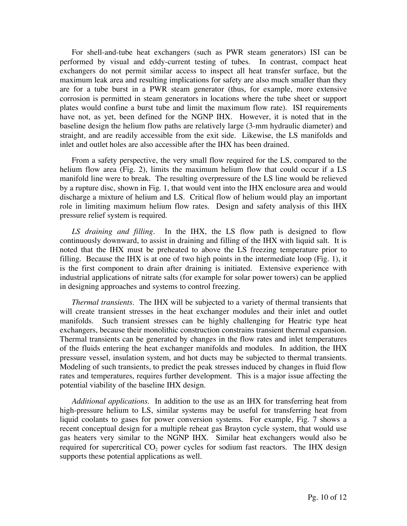For shell-and-tube heat exchangers (such as PWR steam generators) ISI can be performed by visual and eddy-current testing of tubes. In contrast, compact heat exchangers do not permit similar access to inspect all heat transfer surface, but the maximum leak area and resulting implications for safety are also much smaller than they are for a tube burst in a PWR steam generator (thus, for example, more extensive corrosion is permitted in steam generators in locations where the tube sheet or support plates would confine a burst tube and limit the maximum flow rate). ISI requirements have not, as yet, been defined for the NGNP IHX. However, it is noted that in the baseline design the helium flow paths are relatively large (3-mm hydraulic diameter) and straight, and are readily accessible from the exit side. Likewise, the LS manifolds and inlet and outlet holes are also accessible after the IHX has been drained.

From a safety perspective, the very small flow required for the LS, compared to the helium flow area (Fig. 2), limits the maximum helium flow that could occur if a LS manifold line were to break. The resulting overpressure of the LS line would be relieved by a rupture disc, shown in Fig. 1, that would vent into the IHX enclosure area and would discharge a mixture of helium and LS. Critical flow of helium would play an important role in limiting maximum helium flow rates. Design and safety analysis of this IHX pressure relief system is required.

*LS draining and filling.* In the IHX, the LS flow path is designed to flow continuously downward, to assist in draining and filling of the IHX with liquid salt. It is noted that the IHX must be preheated to above the LS freezing temperature prior to filling. Because the IHX is at one of two high points in the intermediate loop (Fig. 1), it is the first component to drain after draining is initiated. Extensive experience with industrial applications of nitrate salts (for example for solar power towers) can be applied in designing approaches and systems to control freezing.

*Thermal transients.* The IHX will be subjected to a variety of thermal transients that will create transient stresses in the heat exchanger modules and their inlet and outlet manifolds. Such transient stresses can be highly challenging for Heatric type heat exchangers, because their monolithic construction constrains transient thermal expansion. Thermal transients can be generated by changes in the flow rates and inlet temperatures of the fluids entering the heat exchanger manifolds and modules. In addition, the IHX pressure vessel, insulation system, and hot ducts may be subjected to thermal transients. Modeling of such transients, to predict the peak stresses induced by changes in fluid flow rates and temperatures, requires further development. This is a major issue affecting the potential viability of the baseline IHX design.

*Additional applications.* In addition to the use as an IHX for transferring heat from high-pressure helium to LS, similar systems may be useful for transferring heat from liquid coolants to gases for power conversion systems. For example, Fig. 7 shows a recent conceptual design for a multiple reheat gas Brayton cycle system, that would use gas heaters very similar to the NGNP IHX. Similar heat exchangers would also be required for supercritical  $CO<sub>2</sub>$  power cycles for sodium fast reactors. The IHX design supports these potential applications as well.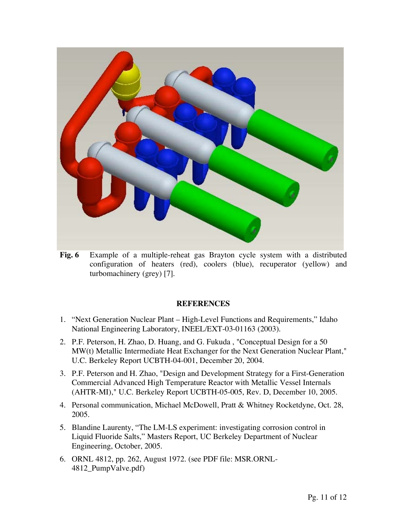

**Fig. 6** Example of a multiple-reheat gas Brayton cycle system with a distributed configuration of heaters (red), coolers (blue), recuperator (yellow) and turbomachinery (grey) [7].

# **REFERENCES**

- 1. "Next Generation Nuclear Plant High-Level Functions and Requirements," Idaho National Engineering Laboratory, INEEL/EXT-03-01163 (2003).
- 2. P.F. Peterson, H. Zhao, D. Huang, and G. Fukuda , "Conceptual Design for a 50 MW(t) Metallic Intermediate Heat Exchanger for the Next Generation Nuclear Plant," U.C. Berkeley Report UCBTH-04-001, December 20, 2004.
- 3. P.F. Peterson and H. Zhao, "Design and Development Strategy for a First-Generation Commercial Advanced High Temperature Reactor with Metallic Vessel Internals (AHTR-MI)," U.C. Berkeley Report UCBTH-05-005, Rev. D, December 10, 2005.
- 4. Personal communication, Michael McDowell, Pratt & Whitney Rocketdyne, Oct. 28, 2005.
- 5. Blandine Laurenty, "The LM-LS experiment: investigating corrosion control in Liquid Fluoride Salts," Masters Report, UC Berkeley Department of Nuclear Engineering, October, 2005.
- 6. ORNL 4812, pp. 262, August 1972. (see PDF file: MSR.ORNL-4812 PumpValve.pdf)